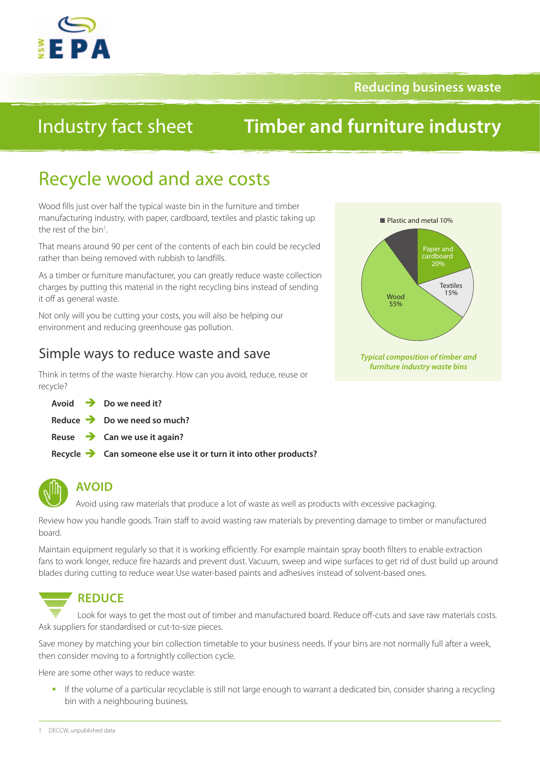

### **Reducing business waste**

## Industry fact sheet

## **Timber and furniture industry**

## Recycle wood and axe costs

Wood fills just over half the typical waste bin in the furniture and timber manufacturing industry, with paper, cardboard, textiles and plastic taking up the rest of the bin<sup>1</sup>.

That means around 90 per cent of the contents of each bin could be recycled rather than being removed with rubbish to landfills.

As a timber or furniture manufacturer, you can greatly reduce waste collection charges by putting this material in the right recycling bins instead of sending it off as general waste.

Not only will you be cutting your costs, you will also be helping our environment and reducing greenhouse gas pollution.

## Simple ways to reduce waste and save

Think in terms of the waste hierarchy. How can you avoid, reduce, reuse or recycle?

|  | Avoid $\rightarrow$ Do we need it?                                            |
|--|-------------------------------------------------------------------------------|
|  | Reduce $\rightarrow$ Do we need so much?                                      |
|  | Reuse $\rightarrow$ Can we use it again?                                      |
|  | Recycle $\rightarrow$ Can someone else use it or turn it into other products? |



## **AVOID**

Avoid using raw materials that produce a lot of waste as well as products with excessive packaging.

Review how you handle goods. Train staff to avoid wasting raw materials by preventing damage to timber or manufactured board.

Maintain equipment regularly so that it is working efficiently. For example maintain spray booth filters to enable extraction fans to work longer, reduce fire hazards and prevent dust. Vacuum, sweep and wipe surfaces to get rid of dust build up around blades during cutting to reduce wear.Use water-based paints and adhesives instead of solvent-based ones.

# **REDUCE**

Look for ways to get the most out of timber and manufactured board. Reduce off-cuts and save raw materials costs. Ask suppliers for standardised or cut-to-size pieces.

Save money by matching your bin collection timetable to your business needs. If your bins are not normally full after a week, then consider moving to a fortnightly collection cycle.

Here are some other ways to reduce waste:

If the volume of a particular recyclable is still not large enough to warrant a dedicated bin, consider sharing a recycling bin with a neighbouring business.